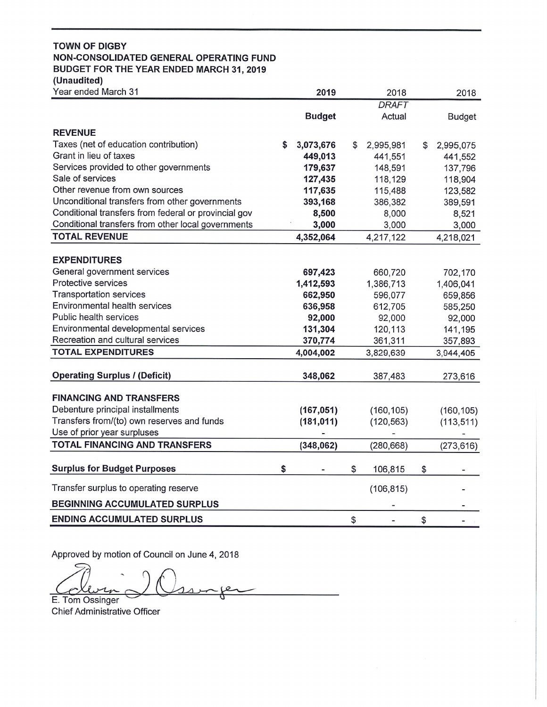# **TOWN OF DIGBY** NON-CONSOLIDATED GENERAL OPERATING FUND BUDGET FOR THE YEAR ENDED MARCH 31, 2019 (Unaudited)

| Year ended March 31                                  | 2019            |    | 2018         | 2018            |
|------------------------------------------------------|-----------------|----|--------------|-----------------|
|                                                      |                 |    | <b>DRAFT</b> |                 |
|                                                      | <b>Budget</b>   |    | Actual       | <b>Budget</b>   |
| <b>REVENUE</b>                                       |                 |    |              |                 |
| Taxes (net of education contribution)                | \$<br>3,073,676 | S  | 2,995,981    | \$<br>2,995,075 |
| Grant in lieu of taxes                               | 449,013         |    | 441,551      | 441,552         |
| Services provided to other governments               | 179,637         |    | 148,591      | 137,796         |
| Sale of services                                     | 127,435         |    | 118,129      | 118,904         |
| Other revenue from own sources                       | 117,635         |    | 115,488      | 123,582         |
| Unconditional transfers from other governments       | 393,168         |    | 386,382      | 389,591         |
| Conditional transfers from federal or provincial gov | 8,500           |    | 8,000        | 8,521           |
| Conditional transfers from other local governments   | 3,000           |    | 3,000        | 3,000           |
| <b>TOTAL REVENUE</b>                                 | 4,352,064       |    | 4,217,122    | 4,218,021       |
|                                                      |                 |    |              |                 |
| <b>EXPENDITURES</b>                                  |                 |    |              |                 |
| General government services                          | 697,423         |    | 660,720      | 702,170         |
| Protective services                                  | 1,412,593       |    | 1,386,713    | 1,406,041       |
| <b>Transportation services</b>                       | 662,950         |    | 596,077      | 659,856         |
| Environmental health services                        | 636,958         |    | 612,705      | 585,250         |
| Public health services                               | 92,000          |    | 92,000       | 92,000          |
| Environmental developmental services                 | 131,304         |    | 120,113      | 141,195         |
| Recreation and cultural services                     | 370,774         |    | 361,311      | 357,893         |
| <b>TOTAL EXPENDITURES</b>                            | 4,004,002       |    | 3,829,639    | 3,944,405       |
| <b>Operating Surplus / (Deficit)</b>                 | 348,062         |    | 387,483      | 273,616         |
|                                                      |                 |    |              |                 |
| <b>FINANCING AND TRANSFERS</b>                       |                 |    |              |                 |
| Debenture principal installments                     | (167, 051)      |    | (160, 105)   | (160, 105)      |
| Transfers from/(to) own reserves and funds           | (181, 011)      |    | (120, 563)   | (113, 511)      |
| Use of prior year surpluses                          |                 |    |              |                 |
| <b>TOTAL FINANCING AND TRANSFERS</b>                 | (348,062)       |    | (280, 668)   | (273, 616)      |
|                                                      |                 |    |              |                 |
| <b>Surplus for Budget Purposes</b>                   | \$              | \$ | 106,815      | \$              |
| Transfer surplus to operating reserve                |                 |    | (106, 815)   |                 |
| <b>BEGINNING ACCUMULATED SURPLUS</b>                 |                 |    |              |                 |
| <b>ENDING ACCUMULATED SURPLUS</b>                    |                 | \$ |              | \$              |

Approved by motion of Council on June 4, 2018

E. Tom Ossinger

**Chief Administrative Officer**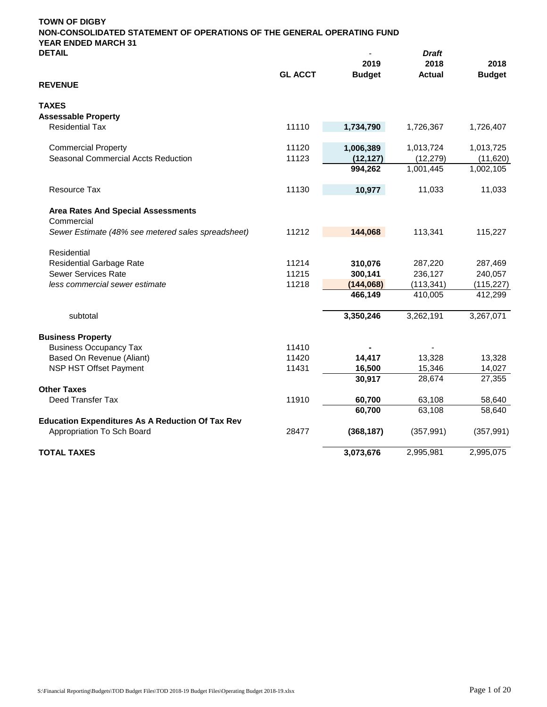| <b>DETAIL</b>                                           |                | 2019          | <b>Draft</b><br>2018 | 2018          |
|---------------------------------------------------------|----------------|---------------|----------------------|---------------|
| <b>REVENUE</b>                                          | <b>GL ACCT</b> | <b>Budget</b> | <b>Actual</b>        | <b>Budget</b> |
| <b>TAXES</b>                                            |                |               |                      |               |
| <b>Assessable Property</b>                              |                |               |                      |               |
| <b>Residential Tax</b>                                  | 11110          | 1,734,790     | 1,726,367            | 1,726,407     |
| <b>Commercial Property</b>                              | 11120          | 1,006,389     | 1,013,724            | 1,013,725     |
| <b>Seasonal Commercial Accts Reduction</b>              | 11123          | (12, 127)     | (12, 279)            | (11,620)      |
|                                                         |                | 994,262       | 1,001,445            | 1,002,105     |
| Resource Tax                                            | 11130          | 10,977        | 11,033               | 11,033        |
| <b>Area Rates And Special Assessments</b>               |                |               |                      |               |
| Commercial                                              |                |               |                      |               |
| Sewer Estimate (48% see metered sales spreadsheet)      | 11212          | 144,068       | 113,341              | 115,227       |
| Residential                                             |                |               |                      |               |
| <b>Residential Garbage Rate</b>                         | 11214          | 310,076       | 287,220              | 287,469       |
| <b>Sewer Services Rate</b>                              | 11215          | 300,141       | 236,127              | 240,057       |
| less commercial sewer estimate                          | 11218          | (144,068)     | (113, 341)           | (115, 227)    |
|                                                         |                | 466,149       | 410,005              | 412,299       |
| subtotal                                                |                | 3,350,246     | 3,262,191            | 3,267,071     |
| <b>Business Property</b>                                |                |               |                      |               |
| <b>Business Occupancy Tax</b>                           | 11410          |               |                      |               |
| Based On Revenue (Aliant)                               | 11420          | 14,417        | 13,328               | 13,328        |
| NSP HST Offset Payment                                  | 11431          | 16,500        | 15,346               | 14,027        |
| <b>Other Taxes</b>                                      |                | 30,917        | 28,674               | 27,355        |
| Deed Transfer Tax                                       | 11910          | 60,700        | 63,108               | 58,640        |
|                                                         |                | 60,700        | 63,108               | 58,640        |
| <b>Education Expenditures As A Reduction Of Tax Rev</b> |                |               |                      |               |
| Appropriation To Sch Board                              | 28477          | (368, 187)    | (357, 991)           | (357, 991)    |
| <b>TOTAL TAXES</b>                                      |                | 3,073,676     | 2,995,981            | 2,995,075     |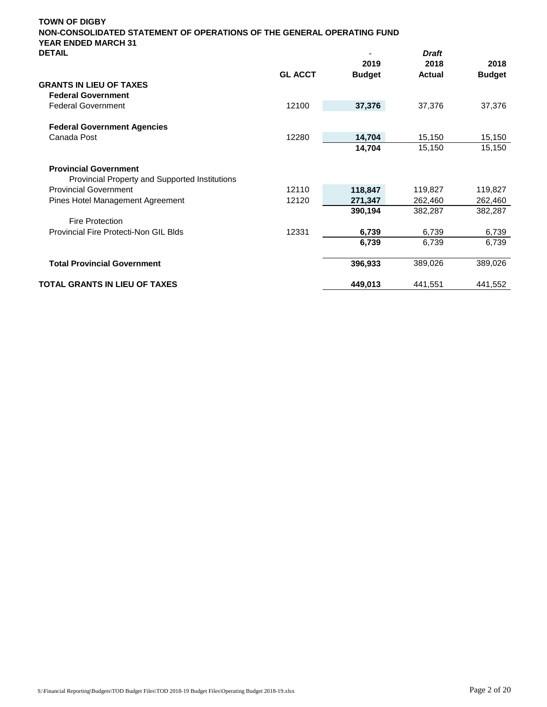| <b>TOWN OF DIGBY</b><br>NON-CONSOLIDATED STATEMENT OF OPERATIONS OF THE GENERAL OPERATING FUND |                |                       |                       |                       |
|------------------------------------------------------------------------------------------------|----------------|-----------------------|-----------------------|-----------------------|
| <b>YEAR ENDED MARCH 31</b><br><b>DETAIL</b>                                                    |                |                       | <b>Draft</b>          |                       |
|                                                                                                | <b>GL ACCT</b> | 2019<br><b>Budget</b> | 2018<br><b>Actual</b> | 2018<br><b>Budget</b> |
| <b>GRANTS IN LIEU OF TAXES</b>                                                                 |                |                       |                       |                       |
| <b>Federal Government</b>                                                                      |                |                       |                       |                       |
| <b>Federal Government</b>                                                                      | 12100          | 37,376                | 37,376                | 37,376                |
| <b>Federal Government Agencies</b>                                                             |                |                       |                       |                       |
| Canada Post                                                                                    | 12280          | 14,704                | 15,150                | 15,150                |
|                                                                                                |                | 14,704                | 15,150                | 15,150                |
| <b>Provincial Government</b>                                                                   |                |                       |                       |                       |
| Provincial Property and Supported Institutions                                                 |                |                       |                       |                       |
| <b>Provincial Government</b>                                                                   | 12110          | 118,847               | 119,827               | 119,827               |
| Pines Hotel Management Agreement                                                               | 12120          | 271,347               | 262,460               | 262,460               |
|                                                                                                |                | 390,194               | 382,287               | 382,287               |
| <b>Fire Protection</b>                                                                         |                |                       |                       |                       |
| Provincial Fire Protecti-Non GIL Blds                                                          | 12331          | 6,739                 | 6,739                 | 6,739                 |
|                                                                                                |                | 6,739                 | 6,739                 | 6,739                 |
| <b>Total Provincial Government</b>                                                             |                | 396,933               | 389,026               | 389,026               |
| <b>TOTAL GRANTS IN LIEU OF TAXES</b>                                                           |                | 449.013               | 441,551               | 441,552               |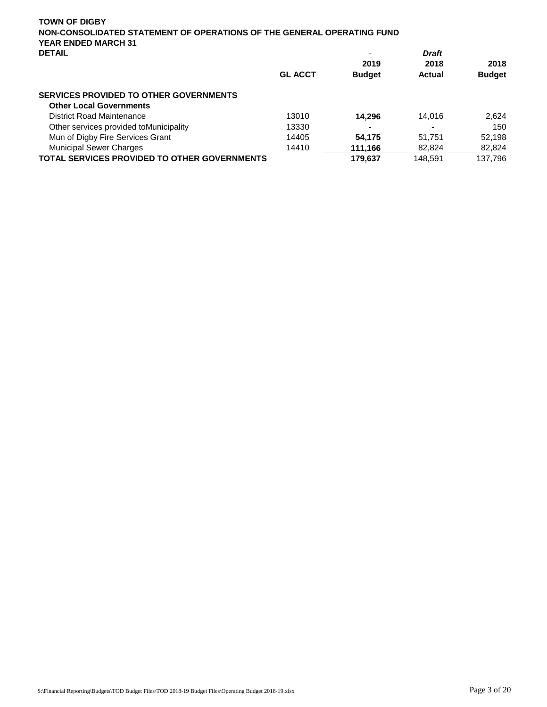| <b>TOWN OF DIGBY</b><br>NON-CONSOLIDATED STATEMENT OF OPERATIONS OF THE GENERAL OPERATING FUND<br><b>YEAR ENDED MARCH 31</b> |                |               |                      |               |
|------------------------------------------------------------------------------------------------------------------------------|----------------|---------------|----------------------|---------------|
| <b>DETAIL</b>                                                                                                                |                | -<br>2019     | <b>Draft</b><br>2018 | 2018          |
|                                                                                                                              | <b>GL ACCT</b> | <b>Budget</b> | Actual               | <b>Budget</b> |
| SERVICES PROVIDED TO OTHER GOVERNMENTS                                                                                       |                |               |                      |               |
| <b>Other Local Governments</b>                                                                                               |                |               |                      |               |
| District Road Maintenance                                                                                                    | 13010          | 14.296        | 14.016               | 2.624         |
| Other services provided to Municipality                                                                                      | 13330          |               | $\blacksquare$       | 150           |
| Mun of Digby Fire Services Grant                                                                                             | 14405          | 54,175        | 51,751               | 52,198        |
| <b>Municipal Sewer Charges</b>                                                                                               | 14410          | 111.166       | 82,824               | 82,824        |
| <b>TOTAL SERVICES PROVIDED TO OTHER GOVERNMENTS</b>                                                                          |                | 179.637       | 148.591              | 137.796       |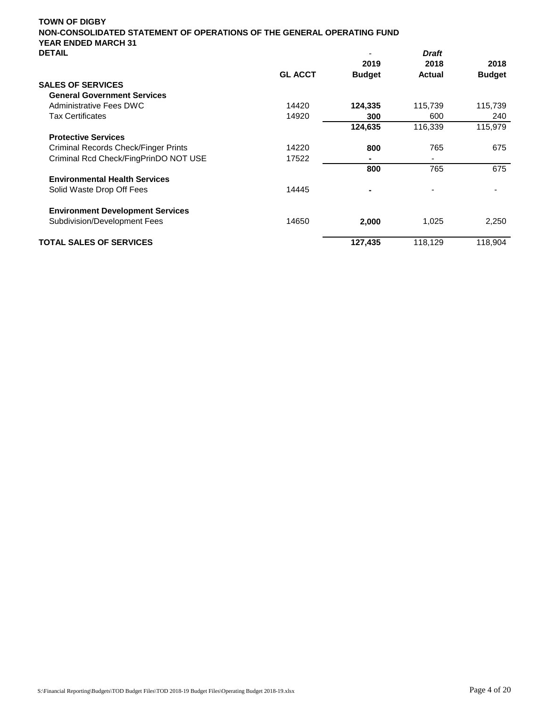| <b>TOWN OF DIGBY</b>                                                                                 |                |               |                          |               |
|------------------------------------------------------------------------------------------------------|----------------|---------------|--------------------------|---------------|
| NON-CONSOLIDATED STATEMENT OF OPERATIONS OF THE GENERAL OPERATING FUND<br><b>YEAR ENDED MARCH 31</b> |                |               |                          |               |
| <b>DETAIL</b>                                                                                        |                |               | <b>Draft</b>             |               |
|                                                                                                      |                | 2019          | 2018                     | 2018          |
|                                                                                                      | <b>GL ACCT</b> | <b>Budget</b> | <b>Actual</b>            | <b>Budget</b> |
| <b>SALES OF SERVICES</b>                                                                             |                |               |                          |               |
| <b>General Government Services</b>                                                                   |                |               |                          |               |
| Administrative Fees DWC                                                                              | 14420          | 124,335       | 115,739                  | 115,739       |
| <b>Tax Certificates</b>                                                                              | 14920          | 300           | 600                      | 240           |
|                                                                                                      |                | 124,635       | 116,339                  | 115,979       |
| <b>Protective Services</b>                                                                           |                |               |                          |               |
| Criminal Records Check/Finger Prints                                                                 | 14220          | 800           | 765                      | 675           |
| Criminal Rcd Check/FingPrinDO NOT USE                                                                | 17522          |               | $\overline{\phantom{0}}$ |               |
|                                                                                                      |                | 800           | 765                      | 675           |
| <b>Environmental Health Services</b>                                                                 |                |               |                          |               |
| Solid Waste Drop Off Fees                                                                            | 14445          |               |                          |               |
| <b>Environment Development Services</b>                                                              |                |               |                          |               |
| Subdivision/Development Fees                                                                         | 14650          | 2,000         | 1,025                    | 2,250         |

# **TOTAL SALES OF SERVICES** 127,435 118,129 118,904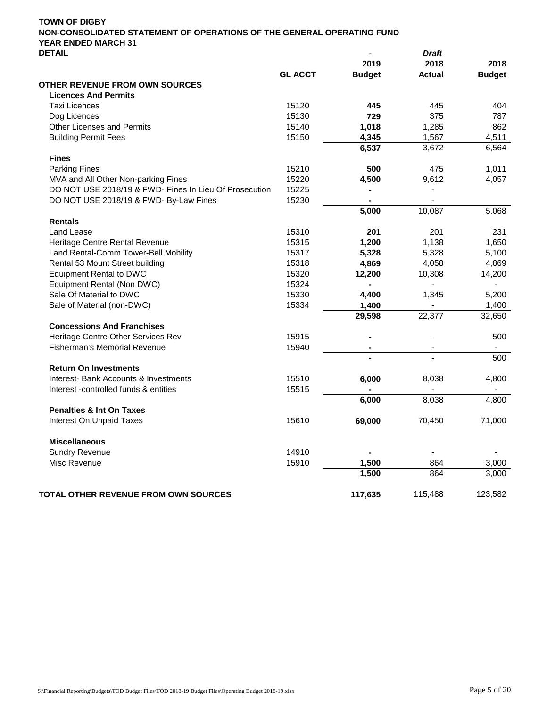| UCIAIL                                                 |                |                | Drant          |               |
|--------------------------------------------------------|----------------|----------------|----------------|---------------|
|                                                        |                | 2019           | 2018           | 2018          |
|                                                        | <b>GL ACCT</b> | <b>Budget</b>  | <b>Actual</b>  | <b>Budget</b> |
| <b>OTHER REVENUE FROM OWN SOURCES</b>                  |                |                |                |               |
| <b>Licences And Permits</b>                            |                |                |                |               |
| <b>Taxi Licences</b>                                   | 15120          | 445            | 445            | 404           |
| Dog Licences                                           | 15130          | 729            | 375            | 787           |
| Other Licenses and Permits                             | 15140          | 1,018          | 1,285          | 862           |
| <b>Building Permit Fees</b>                            | 15150          | 4,345          | 1,567          | 4,511         |
|                                                        |                | 6,537          | 3,672          | 6,564         |
| <b>Fines</b>                                           |                |                |                |               |
| <b>Parking Fines</b>                                   | 15210          | 500            | 475            | 1,011         |
| MVA and All Other Non-parking Fines                    | 15220          | 4,500          | 9,612          | 4,057         |
| DO NOT USE 2018/19 & FWD- Fines In Lieu Of Prosecution | 15225          |                |                |               |
| DO NOT USE 2018/19 & FWD- By-Law Fines                 | 15230          | $\blacksquare$ | $\overline{a}$ |               |
|                                                        |                | 5,000          | 10,087         | 5,068         |
| <b>Rentals</b>                                         |                |                |                |               |
| Land Lease                                             | 15310          | 201            | 201            | 231           |
| Heritage Centre Rental Revenue                         | 15315          | 1,200          | 1,138          | 1,650         |
| Land Rental-Comm Tower-Bell Mobility                   | 15317          | 5,328          | 5,328          | 5,100         |
| Rental 53 Mount Street building                        | 15318          | 4,869          | 4,058          | 4,869         |
| <b>Equipment Rental to DWC</b>                         | 15320          | 12,200         | 10,308         | 14,200        |
| Equipment Rental (Non DWC)                             | 15324          |                |                |               |
| Sale Of Material to DWC                                | 15330          | 4,400          | 1,345          | 5,200         |
| Sale of Material (non-DWC)                             | 15334          | 1,400          |                | 1,400         |
|                                                        |                | 29,598         | 22,377         | 32,650        |
| <b>Concessions And Franchises</b>                      |                |                |                |               |
| Heritage Centre Other Services Rev                     | 15915          |                | $\blacksquare$ | 500           |
| <b>Fisherman's Memorial Revenue</b>                    | 15940          |                | $\blacksquare$ |               |
|                                                        |                |                |                | 500           |
| <b>Return On Investments</b>                           |                |                |                |               |
| Interest- Bank Accounts & Investments                  | 15510          | 6,000          | 8,038          | 4,800         |
| Interest -controlled funds & entities                  | 15515          |                |                |               |
|                                                        |                | 6,000          | 8,038          | 4,800         |
| <b>Penalties &amp; Int On Taxes</b>                    |                |                |                |               |
| <b>Interest On Unpaid Taxes</b>                        | 15610          | 69,000         | 70,450         | 71,000        |
|                                                        |                |                |                |               |
| <b>Miscellaneous</b>                                   |                |                |                |               |
| <b>Sundry Revenue</b>                                  | 14910          |                |                |               |
| Misc Revenue                                           | 15910          | 1,500          | 864            | 3,000         |
|                                                        |                | 1,500          | 864            | 3,000         |
|                                                        |                |                |                |               |
| TOTAL OTHER REVENUE FROM OWN SOURCES                   |                | 117,635        | 115,488        | 123,582       |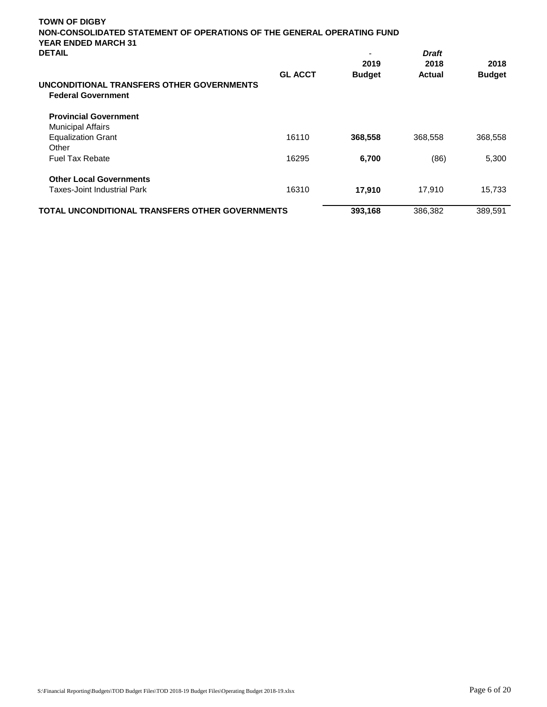| <b>TOWN OF DIGBY</b>                                                                                 |                |               |              |                       |
|------------------------------------------------------------------------------------------------------|----------------|---------------|--------------|-----------------------|
| NON-CONSOLIDATED STATEMENT OF OPERATIONS OF THE GENERAL OPERATING FUND<br><b>YEAR ENDED MARCH 31</b> |                |               |              |                       |
| <b>DETAIL</b>                                                                                        |                |               | <b>Draft</b> |                       |
|                                                                                                      | <b>GL ACCT</b> | 2019          | 2018         | 2018<br><b>Budget</b> |
|                                                                                                      |                | <b>Budget</b> | Actual       |                       |
| UNCONDITIONAL TRANSFERS OTHER GOVERNMENTS                                                            |                |               |              |                       |
| <b>Federal Government</b>                                                                            |                |               |              |                       |
| <b>Provincial Government</b>                                                                         |                |               |              |                       |
| <b>Municipal Affairs</b>                                                                             |                |               |              |                       |
| <b>Equalization Grant</b>                                                                            | 16110          | 368,558       | 368,558      | 368,558               |
| Other                                                                                                |                |               |              |                       |
| <b>Fuel Tax Rebate</b>                                                                               | 16295          | 6,700         | (86)         | 5,300                 |
| <b>Other Local Governments</b>                                                                       |                |               |              |                       |
| Taxes-Joint Industrial Park                                                                          | 16310          | 17,910        | 17,910       | 15,733                |
| <b>TOTAL UNCONDITIONAL TRANSFERS OTHER GOVERNMENTS</b>                                               |                | 393,168       | 386,382      | 389,591               |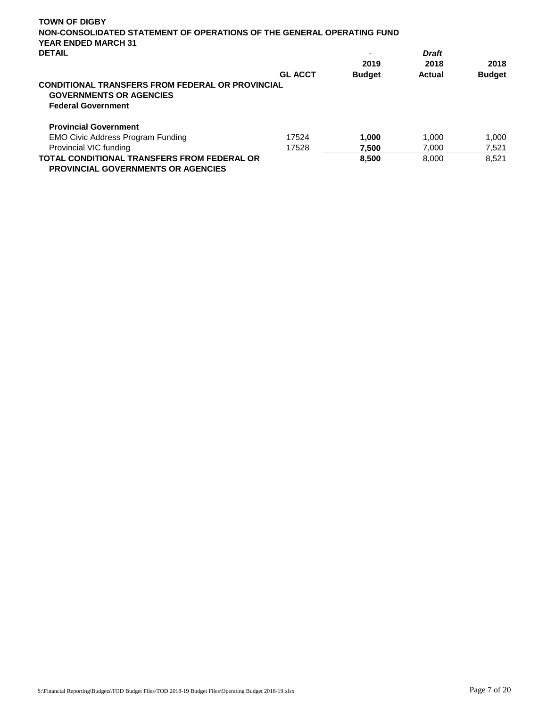| <b>TOWN OF DIGBY</b>                                                                                                   |                |               |               |               |  |  |
|------------------------------------------------------------------------------------------------------------------------|----------------|---------------|---------------|---------------|--|--|
| NON-CONSOLIDATED STATEMENT OF OPERATIONS OF THE GENERAL OPERATING FUND                                                 |                |               |               |               |  |  |
| <b>YEAR ENDED MARCH 31</b>                                                                                             |                |               |               |               |  |  |
|                                                                                                                        |                |               |               |               |  |  |
| <b>DETAIL</b>                                                                                                          |                |               | <b>Draft</b>  |               |  |  |
|                                                                                                                        |                | 2019          | 2018          | 2018          |  |  |
|                                                                                                                        | <b>GL ACCT</b> | <b>Budget</b> | <b>Actual</b> | <b>Budget</b> |  |  |
| <b>CONDITIONAL TRANSFERS FROM FEDERAL OR PROVINCIAL</b><br><b>GOVERNMENTS OR AGENCIES</b><br><b>Federal Government</b> |                |               |               |               |  |  |
| <b>Provincial Government</b>                                                                                           |                |               |               |               |  |  |
| <b>EMO Civic Address Program Funding</b>                                                                               | 17524          | 1.000         | 1.000         | 1.000         |  |  |
| Provincial VIC funding                                                                                                 | 17528          | 7.500         | 7.000         | 7,521         |  |  |
| <b>TOTAL CONDITIONAL TRANSFERS FROM FEDERAL OR</b><br><b>PROVINCIAL GOVERNMENTS OR AGENCIES</b>                        |                | 8,500         | 8,000         | 8.521         |  |  |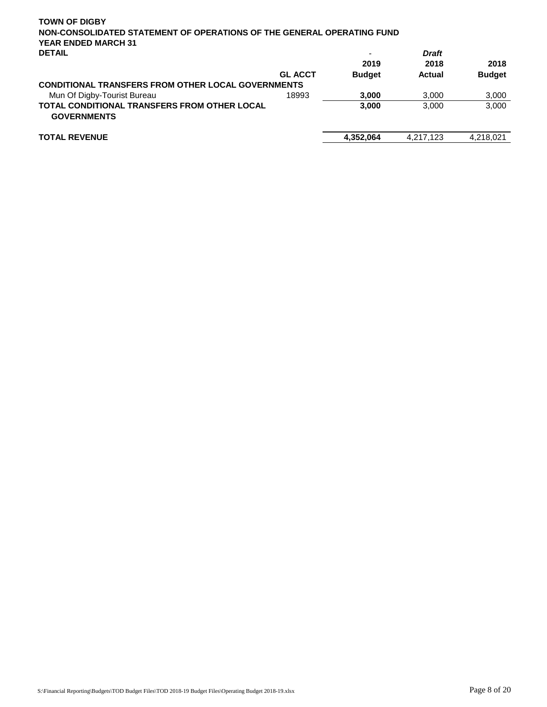| <b>TOWN OF DIGBY</b>                                                      |                |               |               |               |
|---------------------------------------------------------------------------|----------------|---------------|---------------|---------------|
| NON-CONSOLIDATED STATEMENT OF OPERATIONS OF THE GENERAL OPERATING FUND    |                |               |               |               |
| <b>YEAR ENDED MARCH 31</b>                                                |                |               |               |               |
| <b>DETAIL</b>                                                             |                |               | <b>Draft</b>  |               |
|                                                                           |                | 2019          | 2018          | 2018          |
|                                                                           | <b>GL ACCT</b> | <b>Budget</b> | <b>Actual</b> | <b>Budget</b> |
| <b>CONDITIONAL TRANSFERS FROM OTHER LOCAL GOVERNMENTS</b>                 |                |               |               |               |
| Mun Of Digby-Tourist Bureau                                               | 18993          | 3.000         | 3,000         | 3,000         |
| <b>TOTAL CONDITIONAL TRANSFERS FROM OTHER LOCAL</b><br><b>GOVERNMENTS</b> |                | 3,000         | 3,000         | 3,000         |
| <b>TOTAL REVENUE</b>                                                      |                | 4,352,064     | 4,217,123     | 4,218,021     |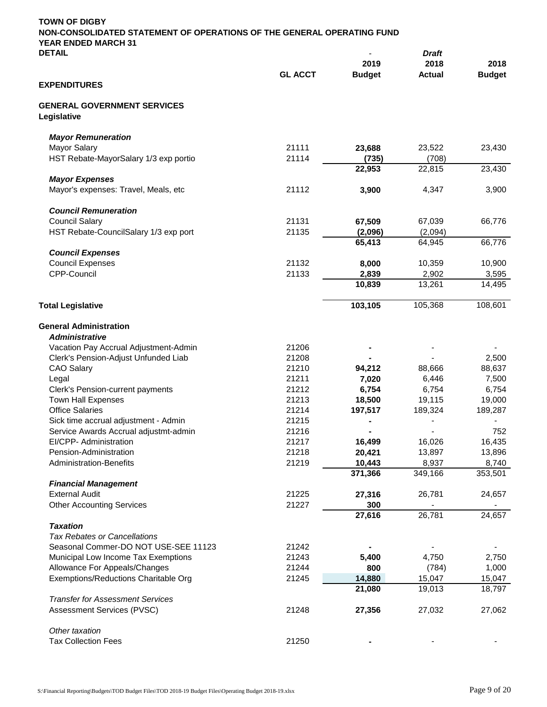| <b>TOWN OF DIGBY</b><br>NON-CONSOLIDATED STATEMENT OF OPERATIONS OF THE GENERAL OPERATING FUND<br><b>YEAR ENDED MARCH 31</b> |                |                  |                  |                  |
|------------------------------------------------------------------------------------------------------------------------------|----------------|------------------|------------------|------------------|
| <b>DETAIL</b>                                                                                                                |                |                  | <b>Draft</b>     |                  |
|                                                                                                                              |                | 2019             | 2018             | 2018             |
|                                                                                                                              | <b>GL ACCT</b> | <b>Budget</b>    | <b>Actual</b>    | <b>Budget</b>    |
| <b>EXPENDITURES</b>                                                                                                          |                |                  |                  |                  |
| <b>GENERAL GOVERNMENT SERVICES</b><br>Legislative                                                                            |                |                  |                  |                  |
| <b>Mayor Remuneration</b>                                                                                                    |                |                  |                  |                  |
| <b>Mayor Salary</b>                                                                                                          | 21111          | 23,688           | 23,522           | 23,430           |
| HST Rebate-MayorSalary 1/3 exp portio                                                                                        | 21114          | (735)            | (708)            |                  |
|                                                                                                                              |                | 22,953           | 22,815           | 23,430           |
| <b>Mayor Expenses</b>                                                                                                        |                |                  |                  |                  |
| Mayor's expenses: Travel, Meals, etc                                                                                         | 21112          | 3,900            | 4,347            | 3,900            |
| <b>Council Remuneration</b>                                                                                                  |                |                  |                  |                  |
| <b>Council Salary</b>                                                                                                        | 21131          | 67,509           | 67,039           | 66,776           |
| HST Rebate-CouncilSalary 1/3 exp port                                                                                        | 21135          | (2,096)          | (2,094)          |                  |
|                                                                                                                              |                | 65,413           | 64,945           | 66,776           |
| <b>Council Expenses</b>                                                                                                      |                |                  |                  |                  |
| <b>Council Expenses</b>                                                                                                      | 21132          | 8,000            | 10,359           | 10,900           |
| CPP-Council                                                                                                                  | 21133          | 2,839            | 2,902            | 3,595            |
|                                                                                                                              |                | 10,839           | 13,261           | 14,495           |
| <b>Total Legislative</b>                                                                                                     |                | 103,105          | 105,368          | 108,601          |
| <b>General Administration</b>                                                                                                |                |                  |                  |                  |
| <b>Administrative</b>                                                                                                        |                |                  |                  |                  |
| Vacation Pay Accrual Adjustment-Admin                                                                                        | 21206          |                  |                  |                  |
| Clerk's Pension-Adjust Unfunded Liab                                                                                         | 21208          |                  |                  | 2,500            |
| <b>CAO Salary</b>                                                                                                            | 21210          | 94,212           | 88,666           | 88,637           |
| Legal                                                                                                                        | 21211          | 7,020            | 6,446            | 7,500            |
| Clerk's Pension-current payments                                                                                             | 21212          | 6,754            | 6,754            | 6,754            |
| <b>Town Hall Expenses</b>                                                                                                    | 21213          | 18,500           | 19,115           | 19,000           |
| <b>Office Salaries</b>                                                                                                       | 21214          | 197,517          | 189,324          | 189,287          |
| Sick time accrual adjustment - Admin                                                                                         | 21215          |                  |                  |                  |
| Service Awards Accrual adjustmt-admin                                                                                        | 21216          |                  |                  | 752              |
| EI/CPP- Administration<br>Pension-Administration                                                                             | 21217<br>21218 | 16,499<br>20,421 | 16,026<br>13,897 | 16,435<br>13,896 |
| <b>Administration-Benefits</b>                                                                                               | 21219          | 10,443           | 8,937            | 8,740            |
|                                                                                                                              |                | 371,366          | 349,166          | 353,501          |
| <b>Financial Management</b>                                                                                                  |                |                  |                  |                  |
| <b>External Audit</b>                                                                                                        | 21225          | 27,316           | 26,781           | 24,657           |
| <b>Other Accounting Services</b>                                                                                             | 21227          | 300              |                  |                  |
|                                                                                                                              |                | 27,616           | 26,781           | 24,657           |
| <b>Taxation</b>                                                                                                              |                |                  |                  |                  |
| <b>Tax Rebates or Cancellations</b>                                                                                          |                |                  |                  |                  |
| Seasonal Commer-DO NOT USE-SEE 11123                                                                                         | 21242<br>21243 | 5,400            |                  |                  |
| Municipal Low Income Tax Exemptions<br>Allowance For Appeals/Changes                                                         | 21244          | 800              | 4,750<br>(784)   | 2,750<br>1,000   |
| Exemptions/Reductions Charitable Org                                                                                         | 21245          | 14,880           | 15,047           | 15,047           |
|                                                                                                                              |                | 21,080           | 19,013           | 18,797           |
| <b>Transfer for Assessment Services</b>                                                                                      |                |                  |                  |                  |
| Assessment Services (PVSC)                                                                                                   | 21248          | 27,356           | 27,032           | 27,062           |
| Other taxation                                                                                                               |                |                  |                  |                  |
| <b>Tax Collection Fees</b>                                                                                                   | 21250          |                  |                  |                  |
|                                                                                                                              |                |                  |                  |                  |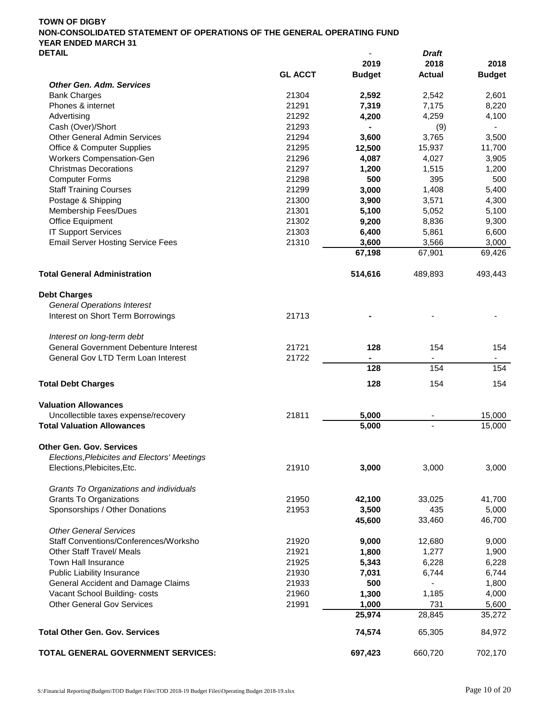|                                              |                | 2019            | 2018           | 2018            |
|----------------------------------------------|----------------|-----------------|----------------|-----------------|
|                                              | <b>GL ACCT</b> | <b>Budget</b>   | <b>Actual</b>  | <b>Budget</b>   |
| <b>Other Gen. Adm. Services</b>              |                |                 |                |                 |
| <b>Bank Charges</b>                          | 21304          | 2,592           | 2,542          | 2,601           |
| Phones & internet                            | 21291          | 7,319           | 7,175          | 8,220           |
| Advertising                                  | 21292          | 4,200           | 4,259          | 4,100           |
| Cash (Over)/Short                            | 21293          |                 | (9)            |                 |
| <b>Other General Admin Services</b>          | 21294          | 3,600           | 3,765          | 3,500           |
| <b>Office &amp; Computer Supplies</b>        | 21295          | 12,500          | 15,937         | 11,700          |
| Workers Compensation-Gen                     | 21296          | 4,087           | 4,027          | 3,905           |
| <b>Christmas Decorations</b>                 | 21297          | 1,200           | 1,515          | 1,200           |
| <b>Computer Forms</b>                        | 21298          | 500             | 395            | 500             |
| <b>Staff Training Courses</b>                | 21299          | 3,000           | 1,408          | 5,400           |
| Postage & Shipping                           | 21300          | 3,900           | 3,571          | 4,300           |
| Membership Fees/Dues                         | 21301          | 5,100           | 5,052          | 5,100           |
| <b>Office Equipment</b>                      | 21302          | 9,200           | 8,836          | 9,300           |
| <b>IT Support Services</b>                   | 21303          | 6,400           | 5,861          | 6,600           |
| <b>Email Server Hosting Service Fees</b>     | 21310          | 3,600           | 3,566          | 3,000           |
|                                              |                | 67,198          | 67,901         | 69,426          |
| <b>Total General Administration</b>          |                | 514,616         | 489,893        | 493,443         |
| <b>Debt Charges</b>                          |                |                 |                |                 |
| <b>General Operations Interest</b>           |                |                 |                |                 |
| Interest on Short Term Borrowings            | 21713          |                 |                |                 |
| Interest on long-term debt                   |                |                 |                |                 |
| <b>General Government Debenture Interest</b> | 21721          | 128             | 154            | 154             |
| General Gov LTD Term Loan Interest           | 21722          |                 | $\blacksquare$ | $\blacksquare$  |
|                                              |                | 128             | 154            | 154             |
| <b>Total Debt Charges</b>                    |                | 128             | 154            | 154             |
| <b>Valuation Allowances</b>                  |                |                 |                |                 |
| Uncollectible taxes expense/recovery         | 21811          | 5,000           |                | 15,000          |
| <b>Total Valuation Allowances</b>            |                | 5,000           |                | 15,000          |
| <b>Other Gen. Gov. Services</b>              |                |                 |                |                 |
| Elections, Plebicites and Electors' Meetings |                |                 |                |                 |
| Elections, Plebicites, Etc.                  | 21910          | 3,000           | 3,000          | 3,000           |
| Grants To Organizations and individuals      |                |                 |                |                 |
| <b>Grants To Organizations</b>               | 21950          | 42,100          | 33,025         | 41,700          |
| Sponsorships / Other Donations               | 21953          | 3,500           | 435            | 5,000           |
| <b>Other General Services</b>                |                | 45,600          | 33,460         | 46,700          |
| Staff Conventions/Conferences/Worksho        | 21920          | 9,000           | 12,680         | 9,000           |
| <b>Other Staff Travel/ Meals</b>             | 21921          | 1,800           | 1,277          |                 |
| <b>Town Hall Insurance</b>                   | 21925          |                 | 6,228          | 1,900<br>6,228  |
|                                              | 21930          | 5,343<br>7,031  | 6,744          | 6,744           |
| <b>Public Liability Insurance</b>            | 21933          | 500             |                | 1,800           |
| General Accident and Damage Claims           |                |                 |                |                 |
| Vacant School Building-costs                 | 21960          | 1,300           | 1,185          | 4,000           |
| <b>Other General Gov Services</b>            | 21991          | 1,000<br>25,974 | 731<br>28,845  | 5,600<br>35,272 |
|                                              |                |                 |                |                 |
| <b>Total Other Gen. Gov. Services</b>        |                | 74,574          | 65,305         | 84,972          |
| TOTAL GENERAL GOVERNMENT SERVICES:           |                | 697,423         | 660,720        | 702,170         |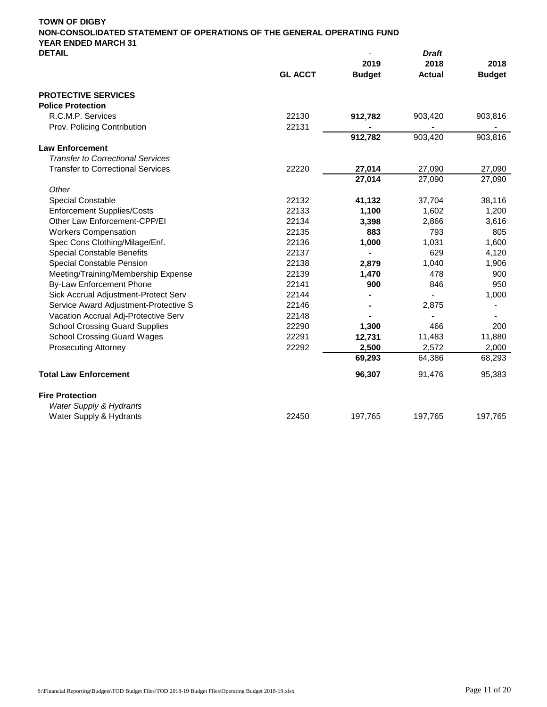| <b>DETAIL</b>                            |                | 2019          | <b>Draft</b><br>2018 | 2018          |
|------------------------------------------|----------------|---------------|----------------------|---------------|
|                                          | <b>GL ACCT</b> | <b>Budget</b> | <b>Actual</b>        | <b>Budget</b> |
| <b>PROTECTIVE SERVICES</b>               |                |               |                      |               |
| <b>Police Protection</b>                 |                |               |                      |               |
| R.C.M.P. Services                        | 22130          | 912,782       | 903,420              | 903,816       |
| Prov. Policing Contribution              | 22131          |               |                      |               |
|                                          |                | 912,782       | 903,420              | 903,816       |
| <b>Law Enforcement</b>                   |                |               |                      |               |
| <b>Transfer to Correctional Services</b> |                |               |                      |               |
| <b>Transfer to Correctional Services</b> | 22220          | 27,014        | 27,090               | 27,090        |
|                                          |                | 27,014        | 27,090               | 27,090        |
| Other                                    |                |               |                      |               |
| Special Constable                        | 22132          | 41,132        | 37,704               | 38,116        |
| <b>Enforcement Supplies/Costs</b>        | 22133          | 1,100         | 1,602                | 1,200         |
| Other Law Enforcement-CPP/EI             | 22134          | 3,398         | 2,866                | 3,616         |
| <b>Workers Compensation</b>              | 22135          | 883           | 793                  | 805           |
| Spec Cons Clothing/Milage/Enf.           | 22136          | 1,000         | 1,031                | 1,600         |
| <b>Special Constable Benefits</b>        | 22137          |               | 629                  | 4,120         |
| Special Constable Pension                | 22138          | 2,879         | 1,040                | 1,906         |
| Meeting/Training/Membership Expense      | 22139          | 1,470         | 478                  | 900           |
| <b>By-Law Enforcement Phone</b>          | 22141          | 900           | 846                  | 950           |
| Sick Accrual Adjustment-Protect Serv     | 22144          |               |                      | 1,000         |
| Service Award Adjustment-Protective S    | 22146          |               | 2,875                |               |
| Vacation Accrual Adj-Protective Serv     | 22148          |               |                      |               |
| <b>School Crossing Guard Supplies</b>    | 22290          | 1,300         | 466                  | 200           |
| <b>School Crossing Guard Wages</b>       | 22291          | 12,731        | 11,483               | 11,880        |
| <b>Prosecuting Attorney</b>              | 22292          | 2,500         | 2,572                | 2,000         |
|                                          |                | 69,293        | 64,386               | 68,293        |
| <b>Total Law Enforcement</b>             |                | 96,307        | 91,476               | 95,383        |

- **Fire Protection** *Water Supply & Hydrants*
- Water Supply & Hydrants **197,765** 197,765 197,765 197,765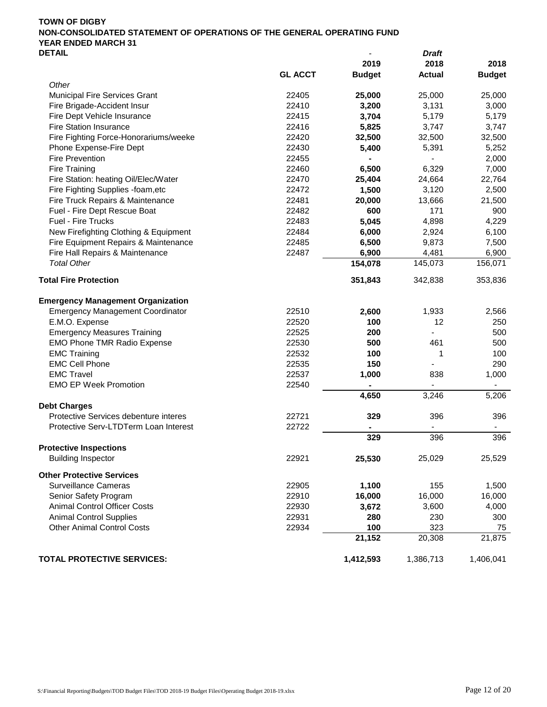|                                          |                |               | וש וע         |               |
|------------------------------------------|----------------|---------------|---------------|---------------|
|                                          |                | 2019          | 2018          | 2018          |
|                                          | <b>GL ACCT</b> | <b>Budget</b> | <b>Actual</b> | <b>Budget</b> |
| Other                                    |                |               |               |               |
| Municipal Fire Services Grant            | 22405          | 25,000        | 25,000        | 25,000        |
| Fire Brigade-Accident Insur              | 22410          | 3,200         | 3,131         | 3,000         |
| Fire Dept Vehicle Insurance              | 22415          | 3,704         | 5,179         | 5,179         |
| <b>Fire Station Insurance</b>            | 22416          | 5,825         | 3,747         | 3,747         |
| Fire Fighting Force-Honorariums/weeke    | 22420          | 32,500        | 32,500        | 32,500        |
| Phone Expense-Fire Dept                  | 22430          | 5,400         | 5,391         | 5,252         |
| Fire Prevention                          | 22455          |               |               | 2,000         |
| <b>Fire Training</b>                     | 22460          | 6,500         | 6,329         | 7,000         |
| Fire Station: heating Oil/Elec/Water     | 22470          | 25,404        | 24,664        | 22,764        |
| Fire Fighting Supplies -foam, etc        | 22472          | 1,500         | 3,120         | 2,500         |
| Fire Truck Repairs & Maintenance         | 22481          | 20,000        | 13,666        | 21,500        |
| Fuel - Fire Dept Rescue Boat             | 22482          | 600           | 171           | 900           |
|                                          |                |               |               |               |
| Fuel - Fire Trucks                       | 22483          | 5,045         | 4,898         | 4,229         |
| New Firefighting Clothing & Equipment    | 22484          | 6,000         | 2,924         | 6,100         |
| Fire Equipment Repairs & Maintenance     | 22485          | 6,500         | 9,873         | 7,500         |
| Fire Hall Repairs & Maintenance          | 22487          | 6,900         | 4,481         | 6,900         |
| <b>Total Other</b>                       |                | 154,078       | 145,073       | 156,071       |
| <b>Total Fire Protection</b>             |                | 351,843       | 342,838       | 353,836       |
| <b>Emergency Management Organization</b> |                |               |               |               |
| <b>Emergency Management Coordinator</b>  | 22510          | 2,600         | 1,933         | 2,566         |
| E.M.O. Expense                           | 22520          | 100           | 12            | 250           |
| <b>Emergency Measures Training</b>       | 22525          | 200           |               | 500           |
| <b>EMO Phone TMR Radio Expense</b>       | 22530          | 500           | 461           | 500           |
| <b>EMC Training</b>                      | 22532          | 100           | 1             | 100           |
| <b>EMC Cell Phone</b>                    | 22535          | 150           |               | 290           |
| <b>EMC Travel</b>                        | 22537          |               | 838           |               |
|                                          |                | 1,000         |               | 1,000         |
| <b>EMO EP Week Promotion</b>             | 22540          | 4,650         | 3,246         | 5,206         |
| <b>Debt Charges</b>                      |                |               |               |               |
| Protective Services debenture interes    | 22721          | 329           | 396           | 396           |
| Protective Serv-LTDTerm Loan Interest    | 22722          |               |               |               |
|                                          |                | 329           | 396           | 396           |
| <b>Protective Inspections</b>            |                |               |               |               |
| <b>Building Inspector</b>                | 22921          | 25,530        | 25,029        | 25,529        |
| <b>Other Protective Services</b>         |                |               |               |               |
| <b>Surveillance Cameras</b>              | 22905          | 1,100         | 155           | 1,500         |
| Senior Safety Program                    | 22910          | 16,000        | 16,000        | 16,000        |
| <b>Animal Control Officer Costs</b>      | 22930          | 3,672         | 3,600         | 4,000         |
| <b>Animal Control Supplies</b>           | 22931          | 280           | 230           | 300           |
| <b>Other Animal Control Costs</b>        | 22934          | 100           | 323           | 75            |
|                                          |                | 21,152        | 20,308        | 21,875        |
| <b>TOTAL PROTECTIVE SERVICES:</b>        |                | 1,412,593     | 1,386,713     | 1,406,041     |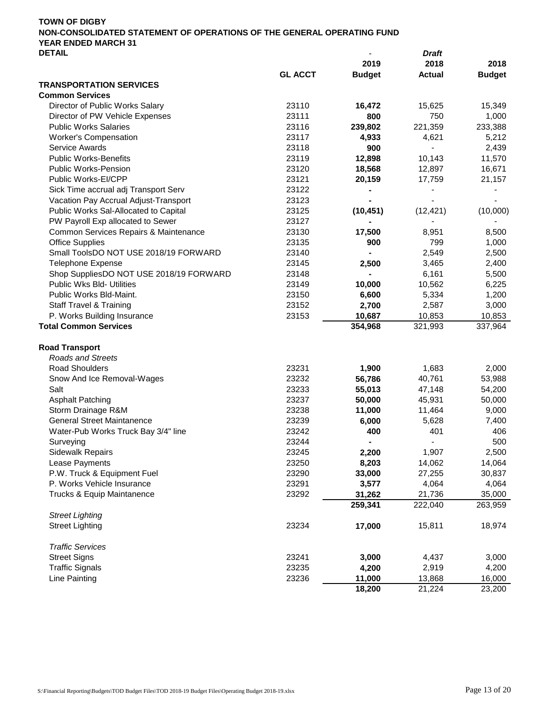|                                         |                |               | viait                        |               |
|-----------------------------------------|----------------|---------------|------------------------------|---------------|
|                                         |                | 2019          | 2018                         | 2018          |
|                                         | <b>GL ACCT</b> | <b>Budget</b> | <b>Actual</b>                | <b>Budget</b> |
| <b>TRANSPORTATION SERVICES</b>          |                |               |                              |               |
| <b>Common Services</b>                  |                |               |                              |               |
| Director of Public Works Salary         | 23110          | 16,472        | 15,625                       | 15,349        |
| Director of PW Vehicle Expenses         | 23111          | 800           | 750                          | 1,000         |
| <b>Public Works Salaries</b>            | 23116          | 239,802       | 221,359                      | 233,388       |
| <b>Worker's Compensation</b>            | 23117          | 4,933         | 4,621                        | 5,212         |
| <b>Service Awards</b>                   | 23118          | 900           |                              | 2,439         |
| <b>Public Works-Benefits</b>            | 23119          | 12,898        | 10,143                       | 11,570        |
| <b>Public Works-Pension</b>             | 23120          | 18,568        | 12,897                       | 16,671        |
| Public Works-EI/CPP                     | 23121          | 20,159        | 17,759                       | 21,157        |
| Sick Time accrual adj Transport Serv    | 23122          |               |                              |               |
| Vacation Pay Accrual Adjust-Transport   | 23123          |               |                              |               |
| Public Works Sal-Allocated to Capital   | 23125          | (10, 451)     | (12, 421)                    | (10,000)      |
| PW Payroll Exp allocated to Sewer       | 23127          |               |                              |               |
| Common Services Repairs & Maintenance   | 23130          | 17,500        | 8,951                        | 8,500         |
| <b>Office Supplies</b>                  | 23135          | 900           | 799                          | 1,000         |
| Small ToolsDO NOT USE 2018/19 FORWARD   | 23140          |               | 2,549                        | 2,500         |
| <b>Telephone Expense</b>                | 23145          | 2,500         | 3,465                        | 2,400         |
| Shop SuppliesDO NOT USE 2018/19 FORWARD | 23148          |               | 6,161                        | 5,500         |
| Public Wks Bld- Utilities               | 23149          | 10,000        | 10,562                       | 6,225         |
| Public Works Bld-Maint.                 | 23150          | 6,600         | 5,334                        | 1,200         |
| <b>Staff Travel &amp; Training</b>      | 23152          | 2,700         | 2,587                        | 3,000         |
| P. Works Building Insurance             | 23153          | 10,687        | 10,853                       | 10,853        |
| <b>Total Common Services</b>            |                | 354,968       | 321,993                      | 337,964       |
|                                         |                |               |                              |               |
| <b>Road Transport</b>                   |                |               |                              |               |
| <b>Roads and Streets</b>                |                |               |                              |               |
| <b>Road Shoulders</b>                   | 23231          | 1,900         | 1,683                        | 2,000         |
| Snow And Ice Removal-Wages              | 23232          | 56,786        | 40,761                       | 53,988        |
| Salt                                    | 23233          | 55,013        | 47,148                       | 54,200        |
| <b>Asphalt Patching</b>                 | 23237          | 50,000        | 45,931                       | 50,000        |
| Storm Drainage R&M                      | 23238          | 11,000        | 11,464                       | 9,000         |
| <b>General Street Maintanence</b>       | 23239          | 6,000         | 5,628                        | 7,400         |
| Water-Pub Works Truck Bay 3/4" line     | 23242          | 400           | 401                          | 406           |
| Surveying                               | 23244          |               | $\qquad \qquad \blacksquare$ | 500           |
| <b>Sidewalk Repairs</b>                 | 23245          | 2,200         | 1,907                        | 2,500         |
| Lease Payments                          | 23250          | 8,203         | 14,062                       | 14,064        |
| P.W. Truck & Equipment Fuel             | 23290          | 33,000        | 27,255                       | 30,837        |
| P. Works Vehicle Insurance              | 23291          | 3,577         | 4,064                        | 4,064         |
| Trucks & Equip Maintanence              | 23292          | 31,262        | 21,736                       | 35,000        |
|                                         |                | 259,341       | 222,040                      | 263,959       |
| <b>Street Lighting</b>                  |                |               |                              |               |
| <b>Street Lighting</b>                  | 23234          | 17,000        | 15,811                       | 18,974        |
|                                         |                |               |                              |               |
| <b>Traffic Services</b>                 |                |               |                              |               |
| <b>Street Signs</b>                     | 23241          | 3,000         | 4,437                        | 3,000         |
| <b>Traffic Signals</b>                  | 23235          | 4,200         | 2,919                        | 4,200         |
| Line Painting                           | 23236          | 11,000        | 13,868                       | 16,000        |
|                                         |                | 18,200        | 21,224                       | 23,200        |
|                                         |                |               |                              |               |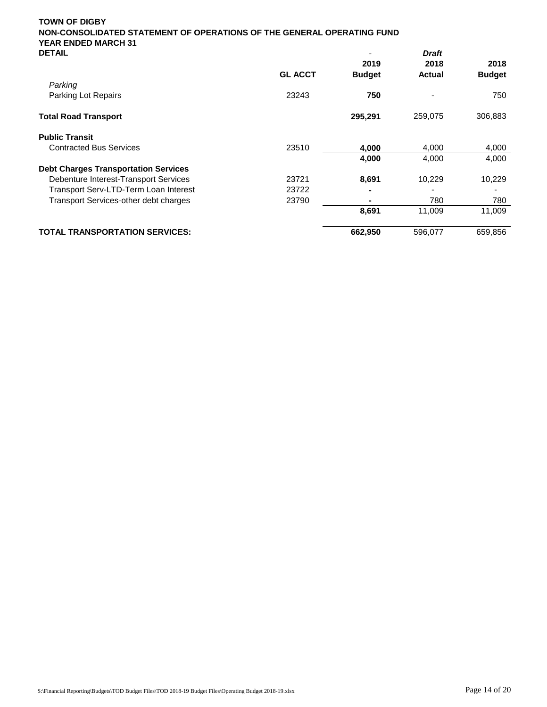| <b>GL ACCT</b><br><b>Budget</b><br><b>Budget</b><br><b>Actual</b><br>Parking<br>23243<br>Parking Lot Repairs<br>750<br>750<br>306,883<br>295,291<br>259,075<br><b>Total Road Transport</b><br><b>Public Transit</b><br><b>Contracted Bus Services</b><br>23510<br>4,000<br>4,000<br>4.000<br>4,000<br>4,000<br>4,000<br><b>Debt Charges Transportation Services</b><br>Debenture Interest-Transport Services<br>23721<br>8,691<br>10,229<br>10,229<br>Transport Serv-LTD-Term Loan Interest<br>23722<br>23790<br><b>Transport Services-other debt charges</b><br>780<br>780<br>8,691<br>11,009<br>11,009<br>659,856<br><b>TOTAL TRANSPORTATION SERVICES:</b><br>662,950<br>596,077 | DETAIL |      | Draft |      |
|------------------------------------------------------------------------------------------------------------------------------------------------------------------------------------------------------------------------------------------------------------------------------------------------------------------------------------------------------------------------------------------------------------------------------------------------------------------------------------------------------------------------------------------------------------------------------------------------------------------------------------------------------------------------------------|--------|------|-------|------|
|                                                                                                                                                                                                                                                                                                                                                                                                                                                                                                                                                                                                                                                                                    |        | 2019 | 2018  | 2018 |
|                                                                                                                                                                                                                                                                                                                                                                                                                                                                                                                                                                                                                                                                                    |        |      |       |      |
|                                                                                                                                                                                                                                                                                                                                                                                                                                                                                                                                                                                                                                                                                    |        |      |       |      |
|                                                                                                                                                                                                                                                                                                                                                                                                                                                                                                                                                                                                                                                                                    |        |      |       |      |
|                                                                                                                                                                                                                                                                                                                                                                                                                                                                                                                                                                                                                                                                                    |        |      |       |      |
|                                                                                                                                                                                                                                                                                                                                                                                                                                                                                                                                                                                                                                                                                    |        |      |       |      |
|                                                                                                                                                                                                                                                                                                                                                                                                                                                                                                                                                                                                                                                                                    |        |      |       |      |
|                                                                                                                                                                                                                                                                                                                                                                                                                                                                                                                                                                                                                                                                                    |        |      |       |      |
|                                                                                                                                                                                                                                                                                                                                                                                                                                                                                                                                                                                                                                                                                    |        |      |       |      |
|                                                                                                                                                                                                                                                                                                                                                                                                                                                                                                                                                                                                                                                                                    |        |      |       |      |
|                                                                                                                                                                                                                                                                                                                                                                                                                                                                                                                                                                                                                                                                                    |        |      |       |      |
|                                                                                                                                                                                                                                                                                                                                                                                                                                                                                                                                                                                                                                                                                    |        |      |       |      |
|                                                                                                                                                                                                                                                                                                                                                                                                                                                                                                                                                                                                                                                                                    |        |      |       |      |
|                                                                                                                                                                                                                                                                                                                                                                                                                                                                                                                                                                                                                                                                                    |        |      |       |      |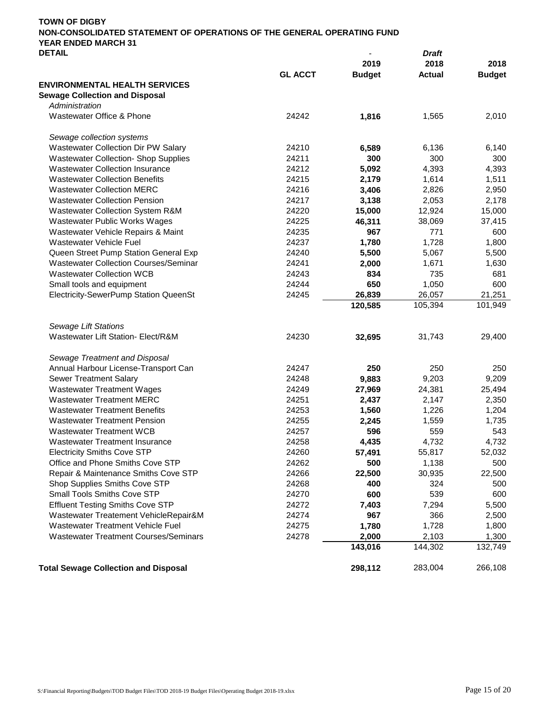| TOWN OF DIGBY                                                          |                          |       |
|------------------------------------------------------------------------|--------------------------|-------|
| NON-CONSOLIDATED STATEMENT OF OPERATIONS OF THE GENERAL OPERATING FUND |                          |       |
| YEAR ENDED MARCH 31                                                    |                          |       |
| <b>DETAIL</b>                                                          | $\overline{\phantom{a}}$ | Draft |

| 2019<br>2018<br><b>GL ACCT</b><br><b>Budget</b><br><b>Actual</b><br><b>ENVIRONMENTAL HEALTH SERVICES</b><br><b>Sewage Collection and Disposal</b><br>Administration<br>Wastewater Office & Phone<br>24242<br>1,565<br>1,816<br>Sewage collection systems<br>Wastewater Collection Dir PW Salary<br>24210<br>6,589<br>6,136<br>300<br><b>Wastewater Collection- Shop Supplies</b><br>24211<br>300<br>5,092<br><b>Wastewater Collection Insurance</b><br>24212<br>4,393<br><b>Wastewater Collection Benefits</b><br>24215<br>1,614<br>2,179<br>24216<br><b>Wastewater Collection MERC</b><br>3,406<br>2,826<br><b>Wastewater Collection Pension</b><br>24217<br>3,138<br>2,053<br>Wastewater Collection System R&M<br>24220<br>15,000<br>12,924<br>15,000<br>Wastewater Public Works Wages<br>24225<br>46,311<br>38,069<br>37,415<br>24235<br>771<br>Wastewater Vehicle Repairs & Maint<br>967<br>Wastewater Vehicle Fuel<br>24237<br>1,780<br>1,728<br>1,800<br>24240<br>Queen Street Pump Station General Exp<br>5,500<br>5,067<br>5,500<br>24241<br><b>Wastewater Collection Courses/Seminar</b><br>2,000<br>1,671<br>1,630<br><b>Wastewater Collection WCB</b><br>24243<br>834<br>735<br>681<br>650<br>Small tools and equipment<br>24244<br>1,050<br>600<br>Electricity-SewerPump Station QueenSt<br>24245<br>26,839<br>26,057<br>21,251<br>120,585<br>105,394<br>101,949<br><b>Sewage Lift Stations</b><br>Wastewater Lift Station- Elect/R&M<br>24230<br>32,695<br>31,743<br>29,400<br>Sewage Treatment and Disposal<br>250<br>Annual Harbour License-Transport Can<br>24247<br>250<br>250<br><b>Sewer Treatment Salary</b><br>24248<br>9,883<br>9,203<br>9,209<br>24249<br><b>Wastewater Treatment Wages</b><br>27,969<br>24,381<br>25,494<br><b>Wastewater Treatment MERC</b><br>24251<br>2,437<br>2,147<br>2,350<br><b>Wastewater Treatment Benefits</b><br>24253<br>1,560<br>1,226<br>1,204<br><b>Wastewater Treatment Pension</b><br>24255<br>1,559<br>1,735<br>2,245<br><b>Wastewater Treatment WCB</b><br>24257<br>596<br>559<br>543<br><b>Wastewater Treatment Insurance</b><br>24258<br>4,435<br>4,732<br>4,732 | <b>DEIAIL</b>                      |       |        | Drait  |               |
|-------------------------------------------------------------------------------------------------------------------------------------------------------------------------------------------------------------------------------------------------------------------------------------------------------------------------------------------------------------------------------------------------------------------------------------------------------------------------------------------------------------------------------------------------------------------------------------------------------------------------------------------------------------------------------------------------------------------------------------------------------------------------------------------------------------------------------------------------------------------------------------------------------------------------------------------------------------------------------------------------------------------------------------------------------------------------------------------------------------------------------------------------------------------------------------------------------------------------------------------------------------------------------------------------------------------------------------------------------------------------------------------------------------------------------------------------------------------------------------------------------------------------------------------------------------------------------------------------------------------------------------------------------------------------------------------------------------------------------------------------------------------------------------------------------------------------------------------------------------------------------------------------------------------------------------------------------------------------------------------------------------------------------------------------------------------------------------------------------------------------------|------------------------------------|-------|--------|--------|---------------|
|                                                                                                                                                                                                                                                                                                                                                                                                                                                                                                                                                                                                                                                                                                                                                                                                                                                                                                                                                                                                                                                                                                                                                                                                                                                                                                                                                                                                                                                                                                                                                                                                                                                                                                                                                                                                                                                                                                                                                                                                                                                                                                                               |                                    |       |        |        | 2018          |
|                                                                                                                                                                                                                                                                                                                                                                                                                                                                                                                                                                                                                                                                                                                                                                                                                                                                                                                                                                                                                                                                                                                                                                                                                                                                                                                                                                                                                                                                                                                                                                                                                                                                                                                                                                                                                                                                                                                                                                                                                                                                                                                               |                                    |       |        |        | <b>Budget</b> |
|                                                                                                                                                                                                                                                                                                                                                                                                                                                                                                                                                                                                                                                                                                                                                                                                                                                                                                                                                                                                                                                                                                                                                                                                                                                                                                                                                                                                                                                                                                                                                                                                                                                                                                                                                                                                                                                                                                                                                                                                                                                                                                                               |                                    |       |        |        |               |
|                                                                                                                                                                                                                                                                                                                                                                                                                                                                                                                                                                                                                                                                                                                                                                                                                                                                                                                                                                                                                                                                                                                                                                                                                                                                                                                                                                                                                                                                                                                                                                                                                                                                                                                                                                                                                                                                                                                                                                                                                                                                                                                               |                                    |       |        |        |               |
|                                                                                                                                                                                                                                                                                                                                                                                                                                                                                                                                                                                                                                                                                                                                                                                                                                                                                                                                                                                                                                                                                                                                                                                                                                                                                                                                                                                                                                                                                                                                                                                                                                                                                                                                                                                                                                                                                                                                                                                                                                                                                                                               |                                    |       |        |        |               |
|                                                                                                                                                                                                                                                                                                                                                                                                                                                                                                                                                                                                                                                                                                                                                                                                                                                                                                                                                                                                                                                                                                                                                                                                                                                                                                                                                                                                                                                                                                                                                                                                                                                                                                                                                                                                                                                                                                                                                                                                                                                                                                                               |                                    |       |        |        | 2,010         |
|                                                                                                                                                                                                                                                                                                                                                                                                                                                                                                                                                                                                                                                                                                                                                                                                                                                                                                                                                                                                                                                                                                                                                                                                                                                                                                                                                                                                                                                                                                                                                                                                                                                                                                                                                                                                                                                                                                                                                                                                                                                                                                                               |                                    |       |        |        |               |
|                                                                                                                                                                                                                                                                                                                                                                                                                                                                                                                                                                                                                                                                                                                                                                                                                                                                                                                                                                                                                                                                                                                                                                                                                                                                                                                                                                                                                                                                                                                                                                                                                                                                                                                                                                                                                                                                                                                                                                                                                                                                                                                               |                                    |       |        |        | 6,140         |
|                                                                                                                                                                                                                                                                                                                                                                                                                                                                                                                                                                                                                                                                                                                                                                                                                                                                                                                                                                                                                                                                                                                                                                                                                                                                                                                                                                                                                                                                                                                                                                                                                                                                                                                                                                                                                                                                                                                                                                                                                                                                                                                               |                                    |       |        |        | 300           |
|                                                                                                                                                                                                                                                                                                                                                                                                                                                                                                                                                                                                                                                                                                                                                                                                                                                                                                                                                                                                                                                                                                                                                                                                                                                                                                                                                                                                                                                                                                                                                                                                                                                                                                                                                                                                                                                                                                                                                                                                                                                                                                                               |                                    |       |        |        | 4,393         |
|                                                                                                                                                                                                                                                                                                                                                                                                                                                                                                                                                                                                                                                                                                                                                                                                                                                                                                                                                                                                                                                                                                                                                                                                                                                                                                                                                                                                                                                                                                                                                                                                                                                                                                                                                                                                                                                                                                                                                                                                                                                                                                                               |                                    |       |        |        | 1,511         |
|                                                                                                                                                                                                                                                                                                                                                                                                                                                                                                                                                                                                                                                                                                                                                                                                                                                                                                                                                                                                                                                                                                                                                                                                                                                                                                                                                                                                                                                                                                                                                                                                                                                                                                                                                                                                                                                                                                                                                                                                                                                                                                                               |                                    |       |        |        | 2,950         |
|                                                                                                                                                                                                                                                                                                                                                                                                                                                                                                                                                                                                                                                                                                                                                                                                                                                                                                                                                                                                                                                                                                                                                                                                                                                                                                                                                                                                                                                                                                                                                                                                                                                                                                                                                                                                                                                                                                                                                                                                                                                                                                                               |                                    |       |        |        | 2,178         |
|                                                                                                                                                                                                                                                                                                                                                                                                                                                                                                                                                                                                                                                                                                                                                                                                                                                                                                                                                                                                                                                                                                                                                                                                                                                                                                                                                                                                                                                                                                                                                                                                                                                                                                                                                                                                                                                                                                                                                                                                                                                                                                                               |                                    |       |        |        |               |
|                                                                                                                                                                                                                                                                                                                                                                                                                                                                                                                                                                                                                                                                                                                                                                                                                                                                                                                                                                                                                                                                                                                                                                                                                                                                                                                                                                                                                                                                                                                                                                                                                                                                                                                                                                                                                                                                                                                                                                                                                                                                                                                               |                                    |       |        |        |               |
|                                                                                                                                                                                                                                                                                                                                                                                                                                                                                                                                                                                                                                                                                                                                                                                                                                                                                                                                                                                                                                                                                                                                                                                                                                                                                                                                                                                                                                                                                                                                                                                                                                                                                                                                                                                                                                                                                                                                                                                                                                                                                                                               |                                    |       |        |        | 600           |
|                                                                                                                                                                                                                                                                                                                                                                                                                                                                                                                                                                                                                                                                                                                                                                                                                                                                                                                                                                                                                                                                                                                                                                                                                                                                                                                                                                                                                                                                                                                                                                                                                                                                                                                                                                                                                                                                                                                                                                                                                                                                                                                               |                                    |       |        |        |               |
|                                                                                                                                                                                                                                                                                                                                                                                                                                                                                                                                                                                                                                                                                                                                                                                                                                                                                                                                                                                                                                                                                                                                                                                                                                                                                                                                                                                                                                                                                                                                                                                                                                                                                                                                                                                                                                                                                                                                                                                                                                                                                                                               |                                    |       |        |        |               |
|                                                                                                                                                                                                                                                                                                                                                                                                                                                                                                                                                                                                                                                                                                                                                                                                                                                                                                                                                                                                                                                                                                                                                                                                                                                                                                                                                                                                                                                                                                                                                                                                                                                                                                                                                                                                                                                                                                                                                                                                                                                                                                                               |                                    |       |        |        |               |
|                                                                                                                                                                                                                                                                                                                                                                                                                                                                                                                                                                                                                                                                                                                                                                                                                                                                                                                                                                                                                                                                                                                                                                                                                                                                                                                                                                                                                                                                                                                                                                                                                                                                                                                                                                                                                                                                                                                                                                                                                                                                                                                               |                                    |       |        |        |               |
|                                                                                                                                                                                                                                                                                                                                                                                                                                                                                                                                                                                                                                                                                                                                                                                                                                                                                                                                                                                                                                                                                                                                                                                                                                                                                                                                                                                                                                                                                                                                                                                                                                                                                                                                                                                                                                                                                                                                                                                                                                                                                                                               |                                    |       |        |        |               |
|                                                                                                                                                                                                                                                                                                                                                                                                                                                                                                                                                                                                                                                                                                                                                                                                                                                                                                                                                                                                                                                                                                                                                                                                                                                                                                                                                                                                                                                                                                                                                                                                                                                                                                                                                                                                                                                                                                                                                                                                                                                                                                                               |                                    |       |        |        |               |
|                                                                                                                                                                                                                                                                                                                                                                                                                                                                                                                                                                                                                                                                                                                                                                                                                                                                                                                                                                                                                                                                                                                                                                                                                                                                                                                                                                                                                                                                                                                                                                                                                                                                                                                                                                                                                                                                                                                                                                                                                                                                                                                               |                                    |       |        |        |               |
|                                                                                                                                                                                                                                                                                                                                                                                                                                                                                                                                                                                                                                                                                                                                                                                                                                                                                                                                                                                                                                                                                                                                                                                                                                                                                                                                                                                                                                                                                                                                                                                                                                                                                                                                                                                                                                                                                                                                                                                                                                                                                                                               |                                    |       |        |        |               |
|                                                                                                                                                                                                                                                                                                                                                                                                                                                                                                                                                                                                                                                                                                                                                                                                                                                                                                                                                                                                                                                                                                                                                                                                                                                                                                                                                                                                                                                                                                                                                                                                                                                                                                                                                                                                                                                                                                                                                                                                                                                                                                                               |                                    |       |        |        |               |
|                                                                                                                                                                                                                                                                                                                                                                                                                                                                                                                                                                                                                                                                                                                                                                                                                                                                                                                                                                                                                                                                                                                                                                                                                                                                                                                                                                                                                                                                                                                                                                                                                                                                                                                                                                                                                                                                                                                                                                                                                                                                                                                               |                                    |       |        |        |               |
|                                                                                                                                                                                                                                                                                                                                                                                                                                                                                                                                                                                                                                                                                                                                                                                                                                                                                                                                                                                                                                                                                                                                                                                                                                                                                                                                                                                                                                                                                                                                                                                                                                                                                                                                                                                                                                                                                                                                                                                                                                                                                                                               |                                    |       |        |        |               |
|                                                                                                                                                                                                                                                                                                                                                                                                                                                                                                                                                                                                                                                                                                                                                                                                                                                                                                                                                                                                                                                                                                                                                                                                                                                                                                                                                                                                                                                                                                                                                                                                                                                                                                                                                                                                                                                                                                                                                                                                                                                                                                                               |                                    |       |        |        |               |
|                                                                                                                                                                                                                                                                                                                                                                                                                                                                                                                                                                                                                                                                                                                                                                                                                                                                                                                                                                                                                                                                                                                                                                                                                                                                                                                                                                                                                                                                                                                                                                                                                                                                                                                                                                                                                                                                                                                                                                                                                                                                                                                               |                                    |       |        |        |               |
|                                                                                                                                                                                                                                                                                                                                                                                                                                                                                                                                                                                                                                                                                                                                                                                                                                                                                                                                                                                                                                                                                                                                                                                                                                                                                                                                                                                                                                                                                                                                                                                                                                                                                                                                                                                                                                                                                                                                                                                                                                                                                                                               |                                    |       |        |        |               |
|                                                                                                                                                                                                                                                                                                                                                                                                                                                                                                                                                                                                                                                                                                                                                                                                                                                                                                                                                                                                                                                                                                                                                                                                                                                                                                                                                                                                                                                                                                                                                                                                                                                                                                                                                                                                                                                                                                                                                                                                                                                                                                                               |                                    |       |        |        |               |
|                                                                                                                                                                                                                                                                                                                                                                                                                                                                                                                                                                                                                                                                                                                                                                                                                                                                                                                                                                                                                                                                                                                                                                                                                                                                                                                                                                                                                                                                                                                                                                                                                                                                                                                                                                                                                                                                                                                                                                                                                                                                                                                               |                                    |       |        |        |               |
|                                                                                                                                                                                                                                                                                                                                                                                                                                                                                                                                                                                                                                                                                                                                                                                                                                                                                                                                                                                                                                                                                                                                                                                                                                                                                                                                                                                                                                                                                                                                                                                                                                                                                                                                                                                                                                                                                                                                                                                                                                                                                                                               |                                    |       |        |        |               |
|                                                                                                                                                                                                                                                                                                                                                                                                                                                                                                                                                                                                                                                                                                                                                                                                                                                                                                                                                                                                                                                                                                                                                                                                                                                                                                                                                                                                                                                                                                                                                                                                                                                                                                                                                                                                                                                                                                                                                                                                                                                                                                                               |                                    |       |        |        |               |
|                                                                                                                                                                                                                                                                                                                                                                                                                                                                                                                                                                                                                                                                                                                                                                                                                                                                                                                                                                                                                                                                                                                                                                                                                                                                                                                                                                                                                                                                                                                                                                                                                                                                                                                                                                                                                                                                                                                                                                                                                                                                                                                               |                                    |       |        |        |               |
|                                                                                                                                                                                                                                                                                                                                                                                                                                                                                                                                                                                                                                                                                                                                                                                                                                                                                                                                                                                                                                                                                                                                                                                                                                                                                                                                                                                                                                                                                                                                                                                                                                                                                                                                                                                                                                                                                                                                                                                                                                                                                                                               |                                    |       |        |        |               |
|                                                                                                                                                                                                                                                                                                                                                                                                                                                                                                                                                                                                                                                                                                                                                                                                                                                                                                                                                                                                                                                                                                                                                                                                                                                                                                                                                                                                                                                                                                                                                                                                                                                                                                                                                                                                                                                                                                                                                                                                                                                                                                                               |                                    |       |        |        |               |
|                                                                                                                                                                                                                                                                                                                                                                                                                                                                                                                                                                                                                                                                                                                                                                                                                                                                                                                                                                                                                                                                                                                                                                                                                                                                                                                                                                                                                                                                                                                                                                                                                                                                                                                                                                                                                                                                                                                                                                                                                                                                                                                               | <b>Electricity Smiths Cove STP</b> | 24260 | 57,491 | 55,817 | 52,032        |
| Office and Phone Smiths Cove STP<br>24262<br>1,138<br>500                                                                                                                                                                                                                                                                                                                                                                                                                                                                                                                                                                                                                                                                                                                                                                                                                                                                                                                                                                                                                                                                                                                                                                                                                                                                                                                                                                                                                                                                                                                                                                                                                                                                                                                                                                                                                                                                                                                                                                                                                                                                     |                                    |       |        |        | 500           |
| 24266<br>Repair & Maintenance Smiths Cove STP<br>22,500<br>30,935                                                                                                                                                                                                                                                                                                                                                                                                                                                                                                                                                                                                                                                                                                                                                                                                                                                                                                                                                                                                                                                                                                                                                                                                                                                                                                                                                                                                                                                                                                                                                                                                                                                                                                                                                                                                                                                                                                                                                                                                                                                             |                                    |       |        |        | 22,500        |
| Shop Supplies Smiths Cove STP<br>24268<br>400<br>324                                                                                                                                                                                                                                                                                                                                                                                                                                                                                                                                                                                                                                                                                                                                                                                                                                                                                                                                                                                                                                                                                                                                                                                                                                                                                                                                                                                                                                                                                                                                                                                                                                                                                                                                                                                                                                                                                                                                                                                                                                                                          |                                    |       |        |        | 500           |
| Small Tools Smiths Cove STP<br>539<br>24270<br>600                                                                                                                                                                                                                                                                                                                                                                                                                                                                                                                                                                                                                                                                                                                                                                                                                                                                                                                                                                                                                                                                                                                                                                                                                                                                                                                                                                                                                                                                                                                                                                                                                                                                                                                                                                                                                                                                                                                                                                                                                                                                            |                                    |       |        |        | 600           |
| <b>Effluent Testing Smiths Cove STP</b><br>24272<br>7,403<br>7,294                                                                                                                                                                                                                                                                                                                                                                                                                                                                                                                                                                                                                                                                                                                                                                                                                                                                                                                                                                                                                                                                                                                                                                                                                                                                                                                                                                                                                                                                                                                                                                                                                                                                                                                                                                                                                                                                                                                                                                                                                                                            |                                    |       |        |        | 5,500         |
| Wastewater Treatement VehicleRepair&M<br>24274<br>967<br>366                                                                                                                                                                                                                                                                                                                                                                                                                                                                                                                                                                                                                                                                                                                                                                                                                                                                                                                                                                                                                                                                                                                                                                                                                                                                                                                                                                                                                                                                                                                                                                                                                                                                                                                                                                                                                                                                                                                                                                                                                                                                  |                                    |       |        |        | 2,500         |
| Wastewater Treatment Vehicle Fuel<br>24275<br>1,728<br>1,780                                                                                                                                                                                                                                                                                                                                                                                                                                                                                                                                                                                                                                                                                                                                                                                                                                                                                                                                                                                                                                                                                                                                                                                                                                                                                                                                                                                                                                                                                                                                                                                                                                                                                                                                                                                                                                                                                                                                                                                                                                                                  |                                    |       |        |        | 1,800         |
| <b>Wastewater Treatment Courses/Seminars</b><br>24278<br>2,000<br>2,103                                                                                                                                                                                                                                                                                                                                                                                                                                                                                                                                                                                                                                                                                                                                                                                                                                                                                                                                                                                                                                                                                                                                                                                                                                                                                                                                                                                                                                                                                                                                                                                                                                                                                                                                                                                                                                                                                                                                                                                                                                                       |                                    |       |        |        | 1,300         |
| 143,016<br>144,302                                                                                                                                                                                                                                                                                                                                                                                                                                                                                                                                                                                                                                                                                                                                                                                                                                                                                                                                                                                                                                                                                                                                                                                                                                                                                                                                                                                                                                                                                                                                                                                                                                                                                                                                                                                                                                                                                                                                                                                                                                                                                                            |                                    |       |        |        | 132,749       |
| <b>Total Sewage Collection and Disposal</b><br>298,112<br>283,004                                                                                                                                                                                                                                                                                                                                                                                                                                                                                                                                                                                                                                                                                                                                                                                                                                                                                                                                                                                                                                                                                                                                                                                                                                                                                                                                                                                                                                                                                                                                                                                                                                                                                                                                                                                                                                                                                                                                                                                                                                                             |                                    |       |        |        | 266,108       |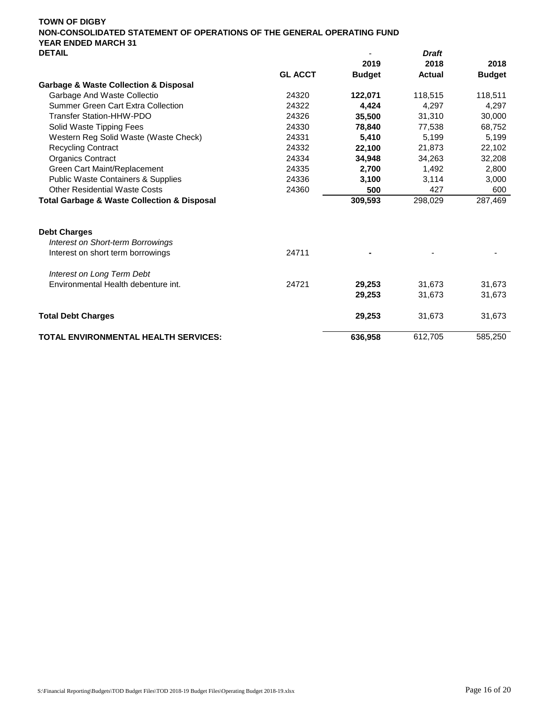| <b>レ∟</b>   ⌒l ㄴ                                           |                |               | viait         |               |
|------------------------------------------------------------|----------------|---------------|---------------|---------------|
|                                                            |                | 2019          | 2018          | 2018          |
|                                                            | <b>GL ACCT</b> | <b>Budget</b> | <b>Actual</b> | <b>Budget</b> |
| <b>Garbage &amp; Waste Collection &amp; Disposal</b>       |                |               |               |               |
| Garbage And Waste Collectio                                | 24320          | 122,071       | 118,515       | 118,511       |
| Summer Green Cart Extra Collection                         | 24322          | 4.424         | 4.297         | 4,297         |
| <b>Transfer Station-HHW-PDO</b>                            | 24326          | 35,500        | 31,310        | 30,000        |
| Solid Waste Tipping Fees                                   | 24330          | 78,840        | 77,538        | 68,752        |
| Western Reg Solid Waste (Waste Check)                      | 24331          | 5,410         | 5,199         | 5,199         |
| <b>Recycling Contract</b>                                  | 24332          | 22,100        | 21,873        | 22,102        |
| <b>Organics Contract</b>                                   | 24334          | 34,948        | 34,263        | 32,208        |
| Green Cart Maint/Replacement                               | 24335          | 2,700         | 1,492         | 2,800         |
| <b>Public Waste Containers &amp; Supplies</b>              | 24336          | 3,100         | 3,114         | 3,000         |
| <b>Other Residential Waste Costs</b>                       | 24360          | 500           | 427           | 600           |
| <b>Total Garbage &amp; Waste Collection &amp; Disposal</b> |                | 309,593       | 298,029       | 287,469       |
| <b>Debt Charges</b>                                        |                |               |               |               |
| <b>Interest on Short-term Borrowings</b>                   |                |               |               |               |
| Interest on short term borrowings                          | 24711          |               |               |               |
| Interest on Long Term Debt                                 |                |               |               |               |
| Environmental Health debenture int.                        | 24721          | 29,253        | 31,673        | 31,673        |
|                                                            |                | 29,253        | 31,673        | 31,673        |
| <b>Total Debt Charges</b>                                  |                | 29,253        | 31,673        | 31,673        |
| <b>TOTAL ENVIRONMENTAL HEALTH SERVICES:</b>                |                | 636,958       | 612,705       | 585,250       |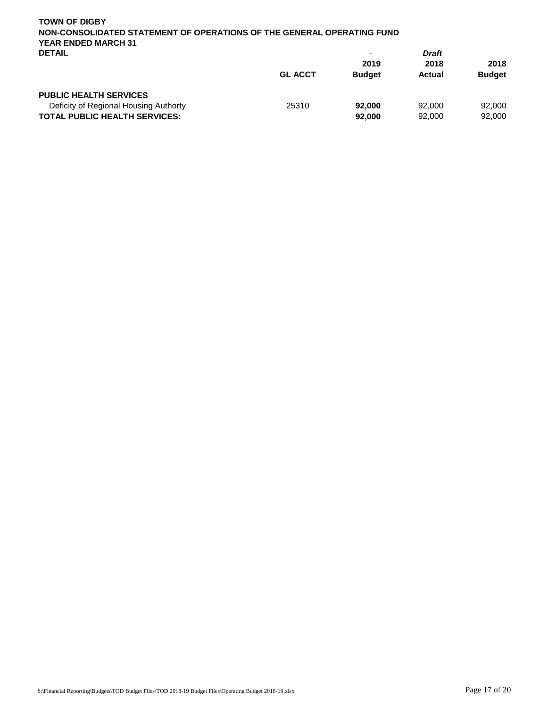| <b>TOWN OF DIGBY</b><br>NON-CONSOLIDATED STATEMENT OF OPERATIONS OF THE GENERAL OPERATING FUND<br><b>YEAR ENDED MARCH 31</b> |                |               |              |               |
|------------------------------------------------------------------------------------------------------------------------------|----------------|---------------|--------------|---------------|
| <b>DETAIL</b>                                                                                                                |                | -             | <b>Draft</b> |               |
|                                                                                                                              |                | 2019          | 2018         | 2018          |
|                                                                                                                              | <b>GL ACCT</b> | <b>Budget</b> | Actual       | <b>Budget</b> |
| <b>PUBLIC HEALTH SERVICES</b>                                                                                                |                |               |              |               |
| Deficity of Regional Housing Authorty                                                                                        | 25310          | 92,000        | 92,000       | 92,000        |
| <b>TOTAL PUBLIC HEALTH SERVICES:</b>                                                                                         |                | 92,000        | 92,000       | 92,000        |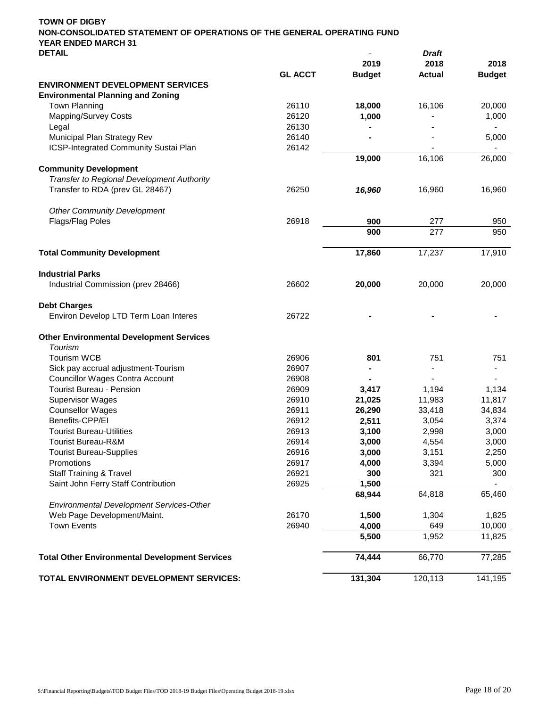|                                                                                   |                | 2019          | 2018          | 2018                     |
|-----------------------------------------------------------------------------------|----------------|---------------|---------------|--------------------------|
|                                                                                   | <b>GL ACCT</b> | <b>Budget</b> | <b>Actual</b> | <b>Budget</b>            |
| <b>ENVIRONMENT DEVELOPMENT SERVICES</b>                                           |                |               |               |                          |
| <b>Environmental Planning and Zoning</b>                                          |                |               |               |                          |
| <b>Town Planning</b>                                                              | 26110          | 18,000        | 16,106        | 20,000                   |
| <b>Mapping/Survey Costs</b>                                                       | 26120          | 1,000         |               | 1,000                    |
| Legal                                                                             | 26130          |               |               |                          |
| Municipal Plan Strategy Rev                                                       | 26140          |               |               | 5,000                    |
| ICSP-Integrated Community Sustai Plan                                             | 26142          |               |               |                          |
|                                                                                   |                | 19,000        | 16, 106       | 26,000                   |
| <b>Community Development</b><br><b>Transfer to Regional Development Authority</b> |                |               |               |                          |
|                                                                                   |                |               |               |                          |
| Transfer to RDA (prev GL 28467)                                                   | 26250          | 16,960        | 16,960        | 16,960                   |
| <b>Other Community Development</b>                                                |                |               |               |                          |
| Flags/Flag Poles                                                                  | 26918          | 900           | 277           | 950                      |
|                                                                                   |                | 900           | 277           | 950                      |
| <b>Total Community Development</b>                                                |                | 17,860        | 17,237        | 17,910                   |
|                                                                                   |                |               |               |                          |
| <b>Industrial Parks</b>                                                           |                |               |               |                          |
| Industrial Commission (prev 28466)                                                | 26602          | 20,000        | 20,000        | 20,000                   |
| <b>Debt Charges</b>                                                               |                |               |               |                          |
| Environ Develop LTD Term Loan Interes                                             | 26722          |               |               |                          |
| <b>Other Environmental Development Services</b>                                   |                |               |               |                          |
| Tourism                                                                           |                |               |               |                          |
| <b>Tourism WCB</b>                                                                | 26906          | 801           | 751           | 751                      |
| Sick pay accrual adjustment-Tourism                                               | 26907          |               |               | $\overline{\phantom{0}}$ |
| <b>Councillor Wages Contra Account</b>                                            | 26908          |               |               |                          |
| <b>Tourist Bureau - Pension</b>                                                   | 26909          | 3,417         | 1,194         | 1,134                    |
| <b>Supervisor Wages</b>                                                           | 26910          | 21,025        | 11,983        | 11,817                   |
| <b>Counsellor Wages</b>                                                           | 26911          | 26,290        | 33,418        | 34,834                   |
| Benefits-CPP/EI                                                                   | 26912          | 2,511         | 3,054         | 3,374                    |
| <b>Tourist Bureau-Utilities</b>                                                   | 26913          | 3,100         | 2,998         | 3,000                    |
| <b>Tourist Bureau-R&amp;M</b>                                                     | 26914          | 3,000         | 4,554         | 3,000                    |
| <b>Tourist Bureau-Supplies</b>                                                    | 26916          | 3,000         | 3,151         | 2,250                    |
| Promotions                                                                        | 26917          | 4,000         | 3,394         | 5,000                    |
| <b>Staff Training &amp; Travel</b>                                                | 26921          | 300           | 321           | 300                      |
| Saint John Ferry Staff Contribution                                               | 26925          | 1,500         |               |                          |
|                                                                                   |                | 68,944        | 64,818        | 65,460                   |
| Environmental Development Services-Other                                          |                |               |               |                          |
| Web Page Development/Maint.                                                       | 26170          | 1,500         | 1,304         | 1,825                    |
| <b>Town Events</b>                                                                | 26940          | 4,000         | 649           | 10,000                   |
|                                                                                   |                | 5,500         | 1,952         | 11,825                   |
|                                                                                   |                |               |               |                          |
| <b>Total Other Environmental Development Services</b>                             |                | 74,444        | 66,770        | 77,285                   |
| TOTAL ENVIRONMENT DEVELOPMENT SERVICES:                                           |                | 131,304       | 120,113       | 141,195                  |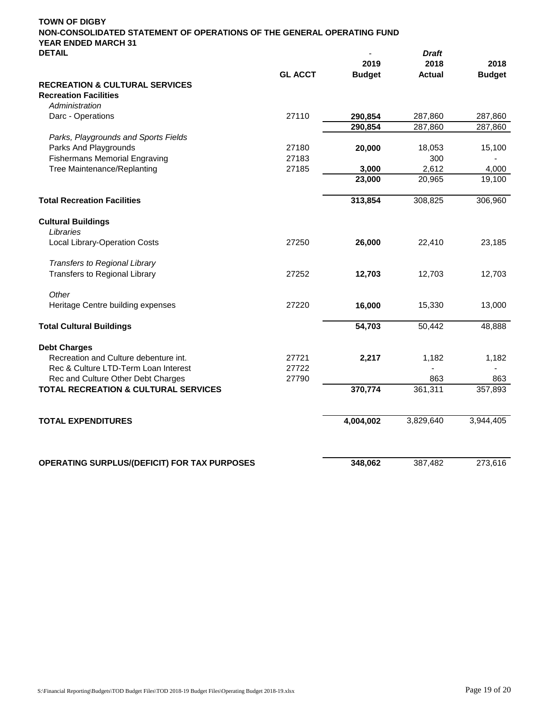| <b>TOWN OF DIGBY</b>                                                                                 |                |               |               |               |
|------------------------------------------------------------------------------------------------------|----------------|---------------|---------------|---------------|
| NON-CONSOLIDATED STATEMENT OF OPERATIONS OF THE GENERAL OPERATING FUND<br><b>YEAR ENDED MARCH 31</b> |                |               |               |               |
| <b>DETAIL</b>                                                                                        |                |               | <b>Draft</b>  |               |
|                                                                                                      |                | 2019          | 2018          | 2018          |
|                                                                                                      | <b>GL ACCT</b> | <b>Budget</b> | <b>Actual</b> | <b>Budget</b> |
| <b>RECREATION &amp; CULTURAL SERVICES</b>                                                            |                |               |               |               |
| <b>Recreation Facilities</b>                                                                         |                |               |               |               |
| Administration                                                                                       |                |               |               |               |
| Darc - Operations                                                                                    | 27110          | 290,854       | 287,860       | 287,860       |
|                                                                                                      |                | 290,854       | 287,860       | 287,860       |
| Parks, Playgrounds and Sports Fields                                                                 |                |               |               |               |
| Parks And Playgrounds                                                                                | 27180          | 20,000        | 18,053        | 15,100        |
| <b>Fishermans Memorial Engraving</b>                                                                 | 27183          |               | 300           |               |
| Tree Maintenance/Replanting                                                                          | 27185          | 3,000         | 2,612         | 4,000         |
|                                                                                                      |                | 23,000        | 20,965        | 19,100        |
|                                                                                                      |                |               |               |               |
| <b>Total Recreation Facilities</b>                                                                   |                | 313,854       | 308,825       | 306,960       |
|                                                                                                      |                |               |               |               |
| <b>Cultural Buildings</b>                                                                            |                |               |               |               |
| Libraries                                                                                            |                |               |               |               |
| Local Library-Operation Costs                                                                        | 27250          | 26,000        | 22,410        | 23,185        |
|                                                                                                      |                |               |               |               |
| Transfers to Regional Library                                                                        |                |               |               |               |
| <b>Transfers to Regional Library</b>                                                                 | 27252          | 12,703        | 12,703        | 12,703        |
| Other                                                                                                |                |               |               |               |
| Heritage Centre building expenses                                                                    | 27220          | 16,000        | 15,330        | 13,000        |
|                                                                                                      |                |               |               |               |
| <b>Total Cultural Buildings</b>                                                                      |                | 54,703        | 50,442        | 48,888        |
|                                                                                                      |                |               |               |               |
| <b>Debt Charges</b>                                                                                  |                |               |               |               |
| Recreation and Culture debenture int.                                                                | 27721          | 2,217         | 1,182         | 1,182         |
| Rec & Culture LTD-Term Loan Interest                                                                 | 27722          |               |               |               |
| Rec and Culture Other Debt Charges                                                                   | 27790          |               | 863           | 863           |
| TOTAL RECREATION & CULTURAL SERVICES                                                                 |                | 370,774       | 361,311       | 357,893       |
|                                                                                                      |                |               |               |               |
| <b>TOTAL EXPENDITURES</b>                                                                            |                | 4,004,002     | 3,829,640     | 3,944,405     |
| OPERATING SURPLUS/(DEFICIT) FOR TAX PURPOSES                                                         |                | 348,062       | 387,482       | 273,616       |